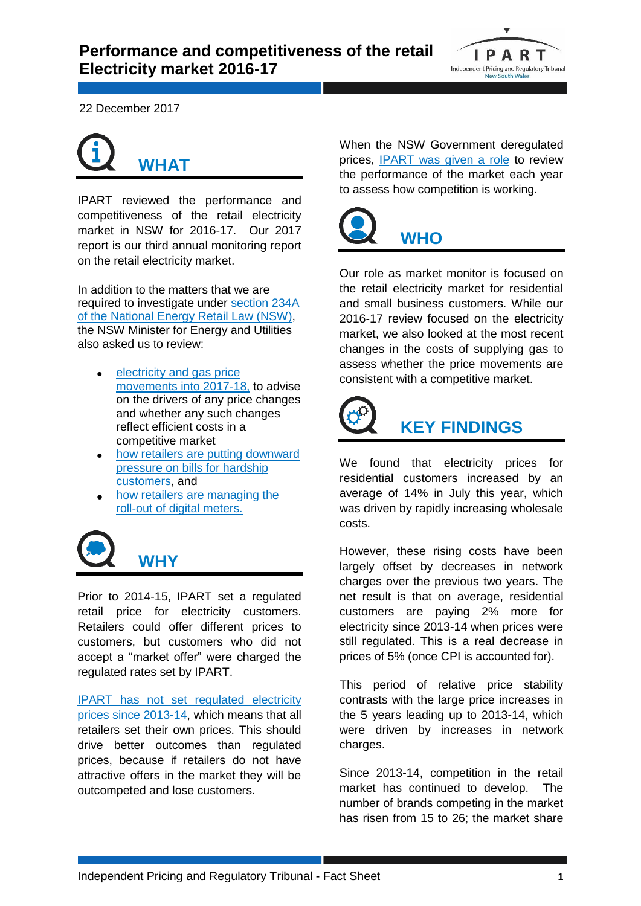

22 December 2017



IPART reviewed the performance and competitiveness of the retail electricity market in NSW for 2016-17. Our 2017 report is our third annual monitoring report on the retail electricity market.

In addition to the matters that we are required to investigate under [section 234A](https://www.legislation.nsw.gov.au/#/view/act/2012/37a/part9amoni/sec234amarket)  [of the National Energy Retail Law \(NSW\),](https://www.legislation.nsw.gov.au/#/view/act/2012/37a/part9amoni/sec234amarket) the NSW Minister for Energy and Utilities also asked us to review:

- **electricity and gas price** [movements into 2017-18,](https://www.ipart.nsw.gov.au/files/sharedassets/website/shared-files/investigation-compliance-monitoring-electricity-submissions-market-monitoring-201617/online-submission-nsw-government-d.-harwin-mlc-27-jun-2017-080000000.pdf) to advise on the drivers of any price changes and whether any such changes reflect efficient costs in a competitive market
- [how retailers are putting downward](https://www.ipart.nsw.gov.au/files/sharedassets/website/shared-files/investigation-compliance-monitoring-electricity-publications-market-monitoring-201617/minister-for-energy-requests-ipart-to-undertake-additional-work-for-the-2017-retail-energy-market-monitoring-review-22-august-2017.pdf)  [pressure on bills for hardship](https://www.ipart.nsw.gov.au/files/sharedassets/website/shared-files/investigation-compliance-monitoring-electricity-publications-market-monitoring-201617/minister-for-energy-requests-ipart-to-undertake-additional-work-for-the-2017-retail-energy-market-monitoring-review-22-august-2017.pdf)  [customers,](https://www.ipart.nsw.gov.au/files/sharedassets/website/shared-files/investigation-compliance-monitoring-electricity-publications-market-monitoring-201617/minister-for-energy-requests-ipart-to-undertake-additional-work-for-the-2017-retail-energy-market-monitoring-review-22-august-2017.pdf) and
- [how retailers are managing the](https://www.ipart.nsw.gov.au/files/sharedassets/website/shared-files/investigation-compliance-monitoring-electricity-publications-market-monitoring-201617/minister-for-energy-requests-ipart-to-undertake-additional-work-for-the-2017-retail-energy-market-monitoring-review-22-august-2017.pdf)  [roll-out of digital](https://www.ipart.nsw.gov.au/files/sharedassets/website/shared-files/investigation-compliance-monitoring-electricity-publications-market-monitoring-201617/minister-for-energy-requests-ipart-to-undertake-additional-work-for-the-2017-retail-energy-market-monitoring-review-22-august-2017.pdf) meters.



Prior to 2014-15, IPART set a regulated retail price for electricity customers. Retailers could offer different prices to customers, but customers who did not accept a "market offer" were charged the regulated rates set by IPART.

[IPART has not set regulated electricity](https://www.resourcesandenergy.nsw.gov.au/energy-consumers/energy-sources/electricity/removal-of-electricity-price-regulation-faqs)  [prices since 2013-14,](https://www.resourcesandenergy.nsw.gov.au/energy-consumers/energy-sources/electricity/removal-of-electricity-price-regulation-faqs) which means that all retailers set their own prices. This should drive better outcomes than regulated prices, because if retailers do not have attractive offers in the market they will be outcompeted and lose customers.

When the NSW Government deregulated prices, [IPART was given a role](https://legislation.nsw.gov.au/~/view/act/2012/37a/part9amoni) to review the performance of the market each year to assess how competition is working.



## Our role as market monitor is focused on the retail electricity market for residential and small business customers. While our 2016-17 review focused on the electricity market, we also looked at the most recent changes in the costs of supplying gas to assess whether the price movements are consistent with a competitive market.



We found that electricity prices for residential customers increased by an average of 14% in July this year, which was driven by rapidly increasing wholesale costs.

However, these rising costs have been largely offset by decreases in network charges over the previous two years. The net result is that on average, residential customers are paying 2% more for electricity since 2013-14 when prices were still regulated. This is a real decrease in prices of 5% (once CPI is accounted for).

This period of relative price stability contrasts with the large price increases in the 5 years leading up to 2013-14, which were driven by increases in network charges.

Since 2013-14, competition in the retail market has continued to develop. The number of brands competing in the market has risen from 15 to 26; the market share